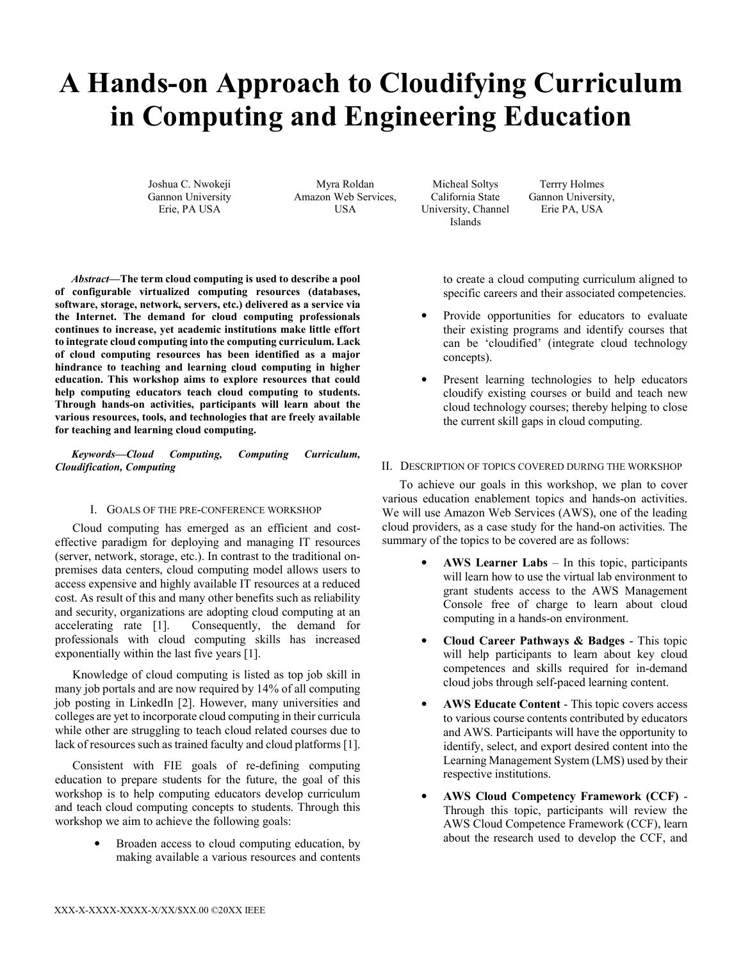# **A Hands-on Approach to Cloudifying Curriculum in Computing and Engineering Education**

Joshua C. Nwokeji Gannon University Erie, PA USA

Myra Roldan Amazon Web Services, **USA** 

Micheal Soltys California State University, Channel Islands

Terrry Holmes Gannon University, Erie PA, USA

*Abstract***—The term cloud computing is used to describe a pool of configurable virtualized computing resources (databases, software, storage, network, servers, etc.) delivered as a service via the Internet. The demand for cloud computing professionals continues to increase, yet academic institutions make little effort to integrate cloud computing into the computing curriculum. Lack of cloud computing resources has been identified as a major hindrance to teaching and learning cloud computing in higher education. This workshop aims to explore resources that could help computing educators teach cloud computing to students. Through hands-on activities, participants will learn about the various resources, tools, and technologies that are freely available for teaching and learning cloud computing.** 

*Keywords—Cloud Computing, Computing Curriculum, Cloudification, Computing* 

## I. GOALS OF THE PRE-CONFERENCE WORKSHOP

Cloud computing has emerged as an efficient and costeffective paradigm for deploying and managing IT resources (server, network, storage, etc.). In contrast to the traditional onpremises data centers, cloud computing model allows users to access expensive and highly available IT resources at a reduced cost. As result of this and many other benefits such as reliability and security, organizations are adopting cloud computing at an accelerating rate [1]. Consequently, the demand for professionals with cloud computing skills has increased exponentially within the last five years [1].

Knowledge of cloud computing is listed as top job skill in many job portals and are now required by 14% of all computing job posting in LinkedIn [2]. However, many universities and colleges are yet to incorporate cloud computing in their curricula while other are struggling to teach cloud related courses due to lack of resources such as trained faculty and cloud platforms [1].

Consistent with FIE goals of re-defining computing education to prepare students for the future, the goal of this workshop is to help computing educators develop curriculum and teach cloud computing concepts to students. Through this workshop we aim to achieve the following goals:

> Broaden access to cloud computing education, by making available a various resources and contents

to create a cloud computing curriculum aligned to specific careers and their associated competencies.

- Provide opportunities for educators to evaluate their existing programs and identify courses that can be 'cloudified' (integrate cloud technology concepts).
- Present learning technologies to help educators cloudify existing courses or build and teach new cloud technology courses; thereby helping to close the current skill gaps in cloud computing.

### II. DESCRIPTION OF TOPICS COVERED DURING THE WORKSHOP

To achieve our goals in this workshop, we plan to cover various education enablement topics and hands-on activities. We will use Amazon Web Services (AWS), one of the leading cloud providers, as a case study for the hand-on activities. The summary of the topics to be covered are as follows:

- **AWS Learner Labs**  In this topic, participants will learn how to use the virtual lab environment to grant students access to the AWS Management Console free of charge to learn about cloud computing in a hands-on environment.
- **Cloud Career Pathways & Badges** This topic will help participants to learn about key cloud competences and skills required for in-demand cloud jobs through self-paced learning content.
- AWS Educate Content This topic covers access to various course contents contributed by educators and AWS. Participants will have the opportunity to identify, select, and export desired content into the Learning Management System (LMS) used by their respective institutions.
- **AWS Cloud Competency Framework (CCF)** Through this topic, participants will review the AWS Cloud Competence Framework (CCF), learn about the research used to develop the CCF, and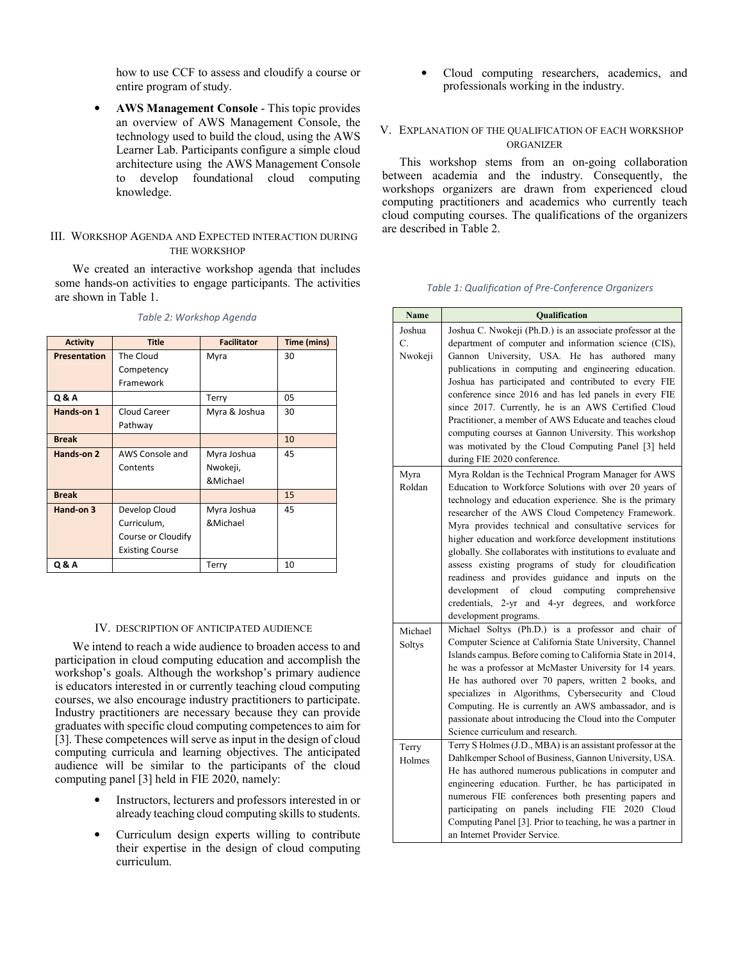how to use CCF to assess and cloudify a course or entire program of study.

• **AWS Management Console** - This topic provides an overview of AWS Management Console, the technology used to build the cloud, using the AWS Learner Lab. Participants configure a simple cloud architecture using the AWS Management Console to develop foundational cloud computing knowledge.

# III. WORKSHOP AGENDA AND EXPECTED INTERACTION DURING THE WORKSHOP

We created an interactive workshop agenda that includes some hands-on activities to engage participants. The activities are shown in Table 1.

| <b>Activity</b>     | <b>Title</b>           | <b>Facilitator</b> | Time (mins) |
|---------------------|------------------------|--------------------|-------------|
| <b>Presentation</b> | The Cloud              | Myra               | 30          |
|                     | Competency             |                    |             |
|                     | Framework              |                    |             |
| Q & A               |                        | Terry              | 05          |
| Hands-on 1          | Cloud Career           | Myra & Joshua      | 30          |
|                     | Pathway                |                    |             |
| <b>Break</b>        |                        |                    | 10          |
| Hands-on 2          | AWS Console and        | Myra Joshua        | 45          |
|                     | Contents               | Nwokeji,           |             |
|                     |                        | &Michael           |             |
| <b>Break</b>        |                        |                    | 15          |
| Hand-on 3           | Develop Cloud          | Myra Joshua        | 45          |
|                     | Curriculum,            | &Michael           |             |
|                     | Course or Cloudify     |                    |             |
|                     | <b>Existing Course</b> |                    |             |
| Q & A               |                        | Terry              | 10          |

*Table 2: Workshop Agenda* 

## IV. DESCRIPTION OF ANTICIPATED AUDIENCE

We intend to reach a wide audience to broaden access to and participation in cloud computing education and accomplish the workshop's goals. Although the workshop's primary audience is educators interested in or currently teaching cloud computing courses, we also encourage industry practitioners to participate. Industry practitioners are necessary because they can provide graduates with specific cloud computing competences to aim for [3]. These competences will serve as input in the design of cloud computing curricula and learning objectives. The anticipated audience will be similar to the participants of the cloud computing panel [3] held in FIE 2020, namely:

- Instructors, lecturers and professors interested in or already teaching cloud computing skills to students.
- Curriculum design experts willing to contribute their expertise in the design of cloud computing curriculum.

• Cloud computing researchers, academics, and professionals working in the industry.

# V. EXPLANATION OF THE QUALIFICATION OF EACH WORKSHOP **ORGANIZER**

This workshop stems from an on-going collaboration between academia and the industry. Consequently, the workshops organizers are drawn from experienced cloud computing practitioners and academics who currently teach cloud computing courses. The qualifications of the organizers are described in Table 2.

| <b>Name</b> | Qualification                                                                                        |
|-------------|------------------------------------------------------------------------------------------------------|
| Joshua      | Joshua C. Nwokeji (Ph.D.) is an associate professor at the                                           |
| C.          | department of computer and information science (CIS),                                                |
| Nwokeji     | Gannon University, USA. He has authored many                                                         |
|             | publications in computing and engineering education.                                                 |
|             | Joshua has participated and contributed to every FIE                                                 |
|             | conference since 2016 and has led panels in every FIE                                                |
|             | since 2017. Currently, he is an AWS Certified Cloud                                                  |
|             | Practitioner, a member of AWS Educate and teaches cloud                                              |
|             | computing courses at Gannon University. This workshop                                                |
|             | was motivated by the Cloud Computing Panel [3] held                                                  |
|             | during FIE 2020 conference.                                                                          |
| Myra        | Myra Roldan is the Technical Program Manager for AWS                                                 |
| Roldan      | Education to Workforce Solutions with over 20 years of                                               |
|             | technology and education experience. She is the primary                                              |
|             | researcher of the AWS Cloud Competency Framework.                                                    |
|             | Myra provides technical and consultative services for                                                |
|             | higher education and workforce development institutions                                              |
|             | globally. She collaborates with institutions to evaluate and                                         |
|             | assess existing programs of study for cloudification                                                 |
|             | readiness and provides guidance and inputs on the<br>of cloud computing comprehensive<br>development |
|             | credentials, 2-yr and 4-yr degrees, and workforce                                                    |
|             | development programs.                                                                                |
| Michael     | Michael Soltys (Ph.D.) is a professor and chair of                                                   |
| Soltys      | Computer Science at California State University, Channel                                             |
|             | Islands campus. Before coming to California State in 2014,                                           |
|             | he was a professor at McMaster University for 14 years.                                              |
|             | He has authored over 70 papers, written 2 books, and                                                 |
|             | specializes in Algorithms, Cybersecurity and Cloud                                                   |
|             | Computing. He is currently an AWS ambassador, and is                                                 |
|             | passionate about introducing the Cloud into the Computer                                             |
|             | Science curriculum and research.                                                                     |
| Terry       | Terry S Holmes (J.D., MBA) is an assistant professor at the                                          |
| Holmes      | Dahlkemper School of Business, Gannon University, USA.                                               |
|             | He has authored numerous publications in computer and                                                |
|             | engineering education. Further, he has participated in                                               |
|             | numerous FIE conferences both presenting papers and                                                  |
|             | participating on panels including FIE 2020 Cloud                                                     |
|             | Computing Panel [3]. Prior to teaching, he was a partner in                                          |
|             | an Internet Provider Service.                                                                        |

*Table 1: Qualification of Pre-Conference Organizers*